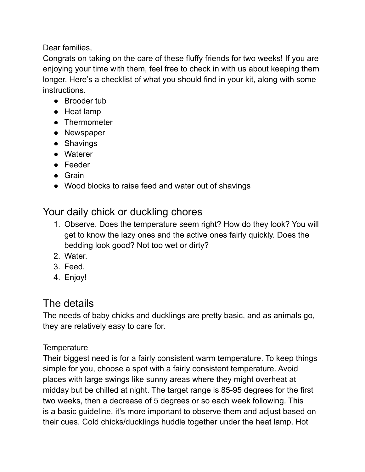Dear families,

Congrats on taking on the care of these fluffy friends for two weeks! If you are enjoying your time with them, feel free to check in with us about keeping them longer. Here's a checklist of what you should find in your kit, along with some instructions.

- Brooder tub
- Heat lamp
- Thermometer
- Newspaper
- Shavings
- Waterer
- Feeder
- Grain
- Wood blocks to raise feed and water out of shavings

# Your daily chick or duckling chores

- 1. Observe. Does the temperature seem right? How do they look? You will get to know the lazy ones and the active ones fairly quickly. Does the bedding look good? Not too wet or dirty?
- 2. Water.
- 3. Feed.
- 4. Enjoy!

# The details

The needs of baby chicks and ducklings are pretty basic, and as animals go, they are relatively easy to care for.

# **Temperature**

Their biggest need is for a fairly consistent warm temperature. To keep things simple for you, choose a spot with a fairly consistent temperature. Avoid places with large swings like sunny areas where they might overheat at midday but be chilled at night. The target range is 85-95 degrees for the first two weeks, then a decrease of 5 degrees or so each week following. This is a basic guideline, it's more important to observe them and adjust based on their cues. Cold chicks/ducklings huddle together under the heat lamp. Hot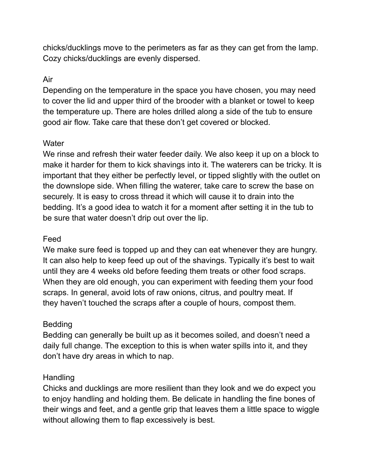chicks/ducklings move to the perimeters as far as they can get from the lamp. Cozy chicks/ducklings are evenly dispersed.

## Air

Depending on the temperature in the space you have chosen, you may need to cover the lid and upper third of the brooder with a blanket or towel to keep the temperature up. There are holes drilled along a side of the tub to ensure good air flow. Take care that these don't get covered or blocked.

#### **Water**

We rinse and refresh their water feeder daily. We also keep it up on a block to make it harder for them to kick shavings into it. The waterers can be tricky. It is important that they either be perfectly level, or tipped slightly with the outlet on the downslope side. When filling the waterer, take care to screw the base on securely. It is easy to cross thread it which will cause it to drain into the bedding. It's a good idea to watch it for a moment after setting it in the tub to be sure that water doesn't drip out over the lip.

#### Feed

We make sure feed is topped up and they can eat whenever they are hungry. It can also help to keep feed up out of the shavings. Typically it's best to wait until they are 4 weeks old before feeding them treats or other food scraps. When they are old enough, you can experiment with feeding them your food scraps. In general, avoid lots of raw onions, citrus, and poultry meat. If they haven't touched the scraps after a couple of hours, compost them.

## Bedding

Bedding can generally be built up as it becomes soiled, and doesn't need a daily full change. The exception to this is when water spills into it, and they don't have dry areas in which to nap.

## Handling

Chicks and ducklings are more resilient than they look and we do expect you to enjoy handling and holding them. Be delicate in handling the fine bones of their wings and feet, and a gentle grip that leaves them a little space to wiggle without allowing them to flap excessively is best.